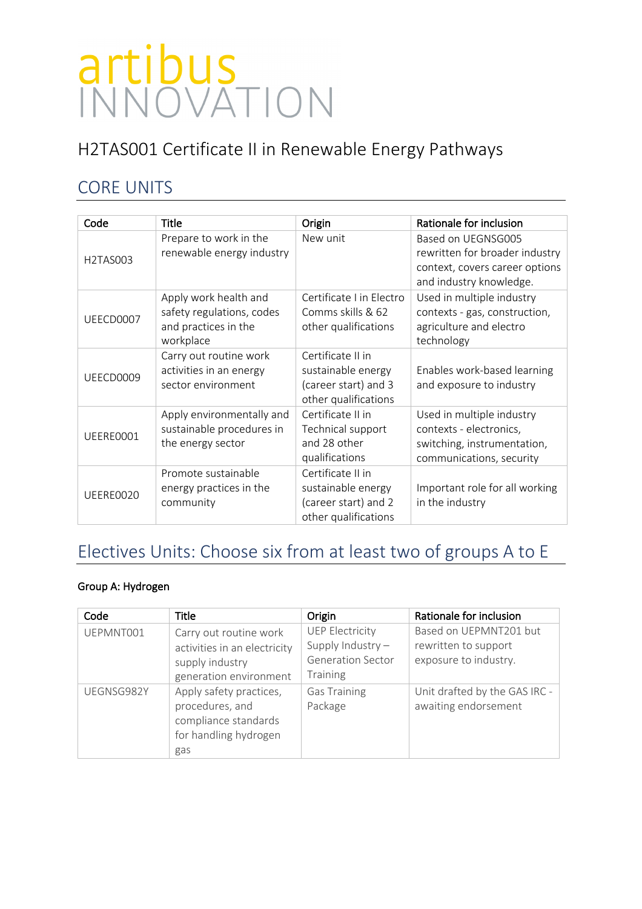# H2TAS001 Certificate II in Renewable Energy Pathways

## CORE UNITS

| Code      | Title                                                                                   | Origin                                                                                  | Rationale for inclusion                                                                                           |
|-----------|-----------------------------------------------------------------------------------------|-----------------------------------------------------------------------------------------|-------------------------------------------------------------------------------------------------------------------|
| H2TAS003  | Prepare to work in the<br>renewable energy industry                                     | New unit                                                                                | Based on UEGNSG005<br>rewritten for broader industry<br>context, covers career options<br>and industry knowledge. |
| UEECD0007 | Apply work health and<br>safety regulations, codes<br>and practices in the<br>workplace | Certificate I in Electro<br>Comms skills & 62<br>other qualifications                   | Used in multiple industry<br>contexts - gas, construction,<br>agriculture and electro<br>technology               |
| UEECD0009 | Carry out routine work<br>activities in an energy<br>sector environment                 | Certificate II in<br>sustainable energy<br>(career start) and 3<br>other qualifications | Enables work-based learning<br>and exposure to industry                                                           |
| UEERE0001 | Apply environmentally and<br>sustainable procedures in<br>the energy sector             | Certificate II in<br>Technical support<br>and 28 other<br>qualifications                | Used in multiple industry<br>contexts - electronics,<br>switching, instrumentation,<br>communications, security   |
| UEERE0020 | Promote sustainable<br>energy practices in the<br>community                             | Certificate II in<br>sustainable energy<br>(career start) and 2<br>other qualifications | Important role for all working<br>in the industry                                                                 |

## Electives Units: Choose six from at least two of groups A to E

### Group A: Hydrogen

| Code       | <b>Title</b>                                                                                        | Origin                                                                                     | Rationale for inclusion                                                 |
|------------|-----------------------------------------------------------------------------------------------------|--------------------------------------------------------------------------------------------|-------------------------------------------------------------------------|
| UEPMNT001  | Carry out routine work<br>activities in an electricity<br>supply industry<br>generation environment | <b>UEP Electricity</b><br>Supply Industry -<br><b>Generation Sector</b><br><b>Training</b> | Based on UEPMNT201 but<br>rewritten to support<br>exposure to industry. |
| UEGNSG982Y | Apply safety practices,<br>procedures, and<br>compliance standards<br>for handling hydrogen<br>gas  | <b>Gas Training</b><br>Package                                                             | Unit drafted by the GAS IRC -<br>awaiting endorsement                   |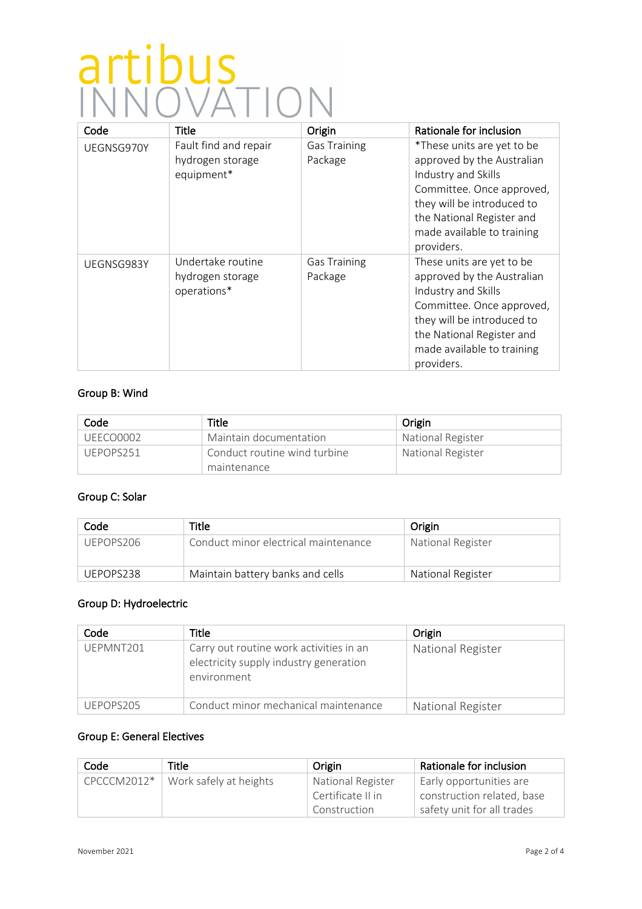| Code       | <b>Title</b>                                            | Origin                         | Rationale for inclusion                                                                                                                                                                                             |
|------------|---------------------------------------------------------|--------------------------------|---------------------------------------------------------------------------------------------------------------------------------------------------------------------------------------------------------------------|
| UEGNSG970Y | Fault find and repair<br>hydrogen storage<br>equipment* | <b>Gas Training</b><br>Package | *These units are yet to be<br>approved by the Australian<br>Industry and Skills<br>Committee. Once approved,<br>they will be introduced to<br>the National Register and<br>made available to training<br>providers. |
| UEGNSG983Y | Undertake routine<br>hydrogen storage<br>operations*    | <b>Gas Training</b><br>Package | These units are yet to be<br>approved by the Australian<br>Industry and Skills<br>Committee. Once approved,<br>they will be introduced to<br>the National Register and<br>made available to training<br>providers.  |

### Group B: Wind

| Code      | Title                        | Origin                   |
|-----------|------------------------------|--------------------------|
| UEECO0002 | Maintain documentation       | National Register        |
| UEPOPS251 | Conduct routine wind turbine | <b>National Register</b> |
|           | maintenance                  |                          |

### Group C: Solar

| Code      | Title                                | Origin            |
|-----------|--------------------------------------|-------------------|
| UEPOPS206 | Conduct minor electrical maintenance | National Register |
| UEPOPS238 | Maintain battery banks and cells     | National Register |

### Group D: Hydroelectric

| Code      | Title                                                                                            | Origin            |
|-----------|--------------------------------------------------------------------------------------------------|-------------------|
| UEPMNT201 | Carry out routine work activities in an<br>electricity supply industry generation<br>environment | National Register |
| UFPOPS205 | Conduct minor mechanical maintenance                                                             | National Register |

### Group E: General Electives

| Code          | Title                  | Origin            | Rationale for inclusion    |
|---------------|------------------------|-------------------|----------------------------|
| $CPCCCM2012*$ | Work safely at heights | National Register | Early opportunities are    |
|               |                        | Certificate II in | construction related, base |
|               |                        | Construction      | safety unit for all trades |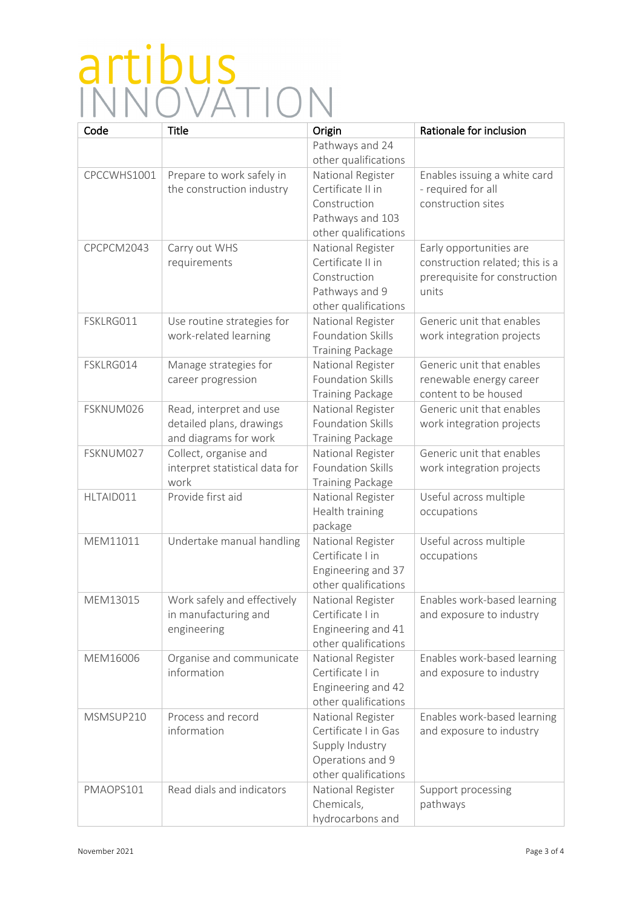| Code        | Title                          | Origin                   | Rationale for inclusion         |
|-------------|--------------------------------|--------------------------|---------------------------------|
|             |                                | Pathways and 24          |                                 |
|             |                                | other qualifications     |                                 |
| CPCCWHS1001 | Prepare to work safely in      | National Register        | Enables issuing a white card    |
|             | the construction industry      | Certificate II in        | - required for all              |
|             |                                | Construction             | construction sites              |
|             |                                | Pathways and 103         |                                 |
|             |                                | other qualifications     |                                 |
| CPCPCM2043  | Carry out WHS                  | National Register        | Early opportunities are         |
|             | requirements                   | Certificate II in        | construction related; this is a |
|             |                                | Construction             | prerequisite for construction   |
|             |                                | Pathways and 9           | units                           |
|             |                                | other qualifications     |                                 |
| FSKLRG011   | Use routine strategies for     | National Register        | Generic unit that enables       |
|             | work-related learning          | Foundation Skills        | work integration projects       |
|             |                                | <b>Training Package</b>  |                                 |
| FSKLRG014   | Manage strategies for          | National Register        | Generic unit that enables       |
|             | career progression             | Foundation Skills        | renewable energy career         |
|             |                                | <b>Training Package</b>  | content to be housed            |
| FSKNUM026   | Read, interpret and use        | National Register        | Generic unit that enables       |
|             | detailed plans, drawings       | <b>Foundation Skills</b> | work integration projects       |
|             | and diagrams for work          | <b>Training Package</b>  |                                 |
| FSKNUM027   | Collect, organise and          | National Register        | Generic unit that enables       |
|             | interpret statistical data for | <b>Foundation Skills</b> | work integration projects       |
|             | work                           | Training Package         |                                 |
| HLTAID011   | Provide first aid              | National Register        | Useful across multiple          |
|             |                                | Health training          | occupations                     |
|             |                                | package                  |                                 |
| MEM11011    | Undertake manual handling      | National Register        | Useful across multiple          |
|             |                                | Certificate I in         | occupations                     |
|             |                                | Engineering and 37       |                                 |
|             |                                | other qualifications     |                                 |
| MEM13015    | Work safely and effectively    | National Register        | Enables work-based learning     |
|             | in manufacturing and           | Certificate I in         | and exposure to industry        |
|             | engineering                    | Engineering and 41       |                                 |
|             |                                | other qualifications     |                                 |
| MEM16006    | Organise and communicate       | National Register        | Enables work-based learning     |
|             | information                    | Certificate I in         | and exposure to industry        |
|             |                                | Engineering and 42       |                                 |
|             |                                | other qualifications     |                                 |
| MSMSUP210   | Process and record             | National Register        | Enables work-based learning     |
|             | information                    | Certificate I in Gas     | and exposure to industry        |
|             |                                | Supply Industry          |                                 |
|             |                                | Operations and 9         |                                 |
|             |                                | other qualifications     |                                 |
| PMAOPS101   | Read dials and indicators      | National Register        | Support processing              |
|             |                                | Chemicals,               | pathways                        |
|             |                                | hydrocarbons and         |                                 |